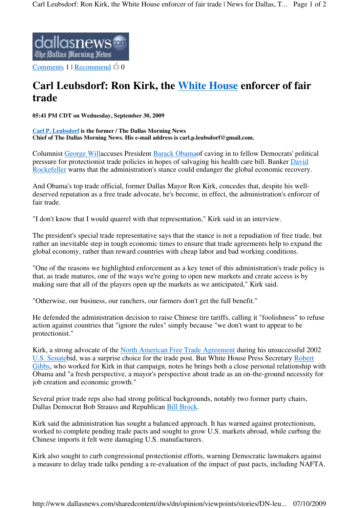

Comments  $1 |$  Recommend  $0$ 

## **Carl Leubsdorf: Ron Kirk, the White House enforcer of fair trade**

**05:41 PM CDT on Wednesday, September 30, 2009** 

**Carl P. Leubsdorf is the former / The Dallas Morning News Chief of The Dallas Morning News. His e-mail address is carl.p.leubsdorf@gmail.com.** 

Columnist George Willaccuses President Barack Obamaof caving in to fellow Democrats' political pressure for protectionist trade policies in hopes of salvaging his health care bill. Banker David Rockefeller warns that the administration's stance could endanger the global economic recovery.

And Obama's top trade official, former Dallas Mayor Ron Kirk, concedes that, despite his welldeserved reputation as a free trade advocate, he's become, in effect, the administration's enforcer of fair trade.

"I don't know that I would quarrel with that representation," Kirk said in an interview.

The president's special trade representative says that the stance is not a repudiation of free trade, but rather an inevitable step in tough economic times to ensure that trade agreements help to expand the global economy, rather than reward countries with cheap labor and bad working conditions.

"One of the reasons we highlighted enforcement as a key tenet of this administration's trade policy is that, as trade matures, one of the ways we're going to open new markets and create access is by making sure that all of the players open up the markets as we anticipated," Kirk said.

"Otherwise, our business, our ranchers, our farmers don't get the full benefit."

He defended the administration decision to raise Chinese tire tariffs, calling it "foolishness" to refuse action against countries that "ignore the rules" simply because "we don't want to appear to be protectionist."

Kirk, a strong advocate of the North American Free Trade Agreement during his unsuccessful 2002 U.S. Senatebid, was a surprise choice for the trade post. But White House Press Secretary Robert Gibbs, who worked for Kirk in that campaign, notes he brings both a close personal relationship with Obama and "a fresh perspective, a mayor's perspective about trade as an on-the-ground necessity for job creation and economic growth."

Several prior trade reps also had strong political backgrounds, notably two former party chairs, Dallas Democrat Bob Strauss and Republican Bill Brock.

Kirk said the administration has sought a balanced approach. It has warned against protectionism, worked to complete pending trade pacts and sought to grow U.S. markets abroad, while curbing the Chinese imports it felt were damaging U.S. manufacturers.

Kirk also sought to curb congressional protectionist efforts, warning Democratic lawmakers against a measure to delay trade talks pending a re-evaluation of the impact of past pacts, including NAFTA.